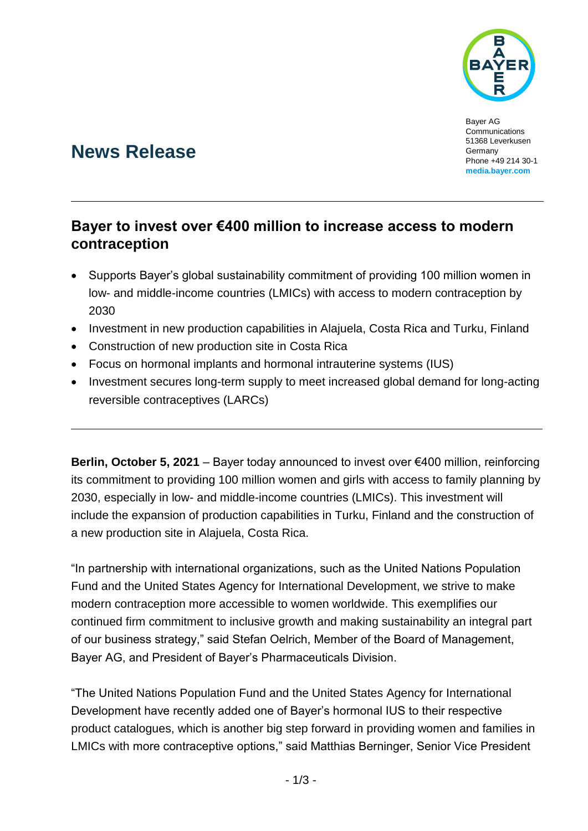

Bayer AG Communications 51368 Leverkusen Germany Phone +49 214 30-1 **[media.bayer.com](http://media.bayer.com/)**

## **News Release**

## **Bayer to invest over €400 million to increase access to modern contraception**

- Supports Bayer's global sustainability commitment of providing 100 million women in low- and middle-income countries (LMICs) with access to modern contraception by 2030
- Investment in new production capabilities in Alajuela, Costa Rica and Turku, Finland
- Construction of new production site in Costa Rica
- Focus on hormonal implants and hormonal intrauterine systems (IUS)
- Investment secures long-term supply to meet increased global demand for long-acting reversible contraceptives (LARCs)

**Berlin, October 5, 2021** – Bayer today announced to invest over €400 million, reinforcing its commitment to providing 100 million women and girls with access to family planning by 2030, especially in low- and middle-income countries (LMICs). This investment will include the expansion of production capabilities in Turku, Finland and the construction of a new production site in Alajuela, Costa Rica.

"In partnership with international organizations, such as the United Nations Population Fund and the United States Agency for International Development, we strive to make modern contraception more accessible to women worldwide. This exemplifies our continued firm commitment to inclusive growth and making sustainability an integral part of our business strategy," said Stefan Oelrich, Member of the Board of Management, Bayer AG, and President of Bayer's Pharmaceuticals Division.

"The United Nations Population Fund and the United States Agency for International Development have recently added one of Bayer's hormonal IUS to their respective product catalogues, which is another big step forward in providing women and families in LMICs with more contraceptive options," said Matthias Berninger, Senior Vice President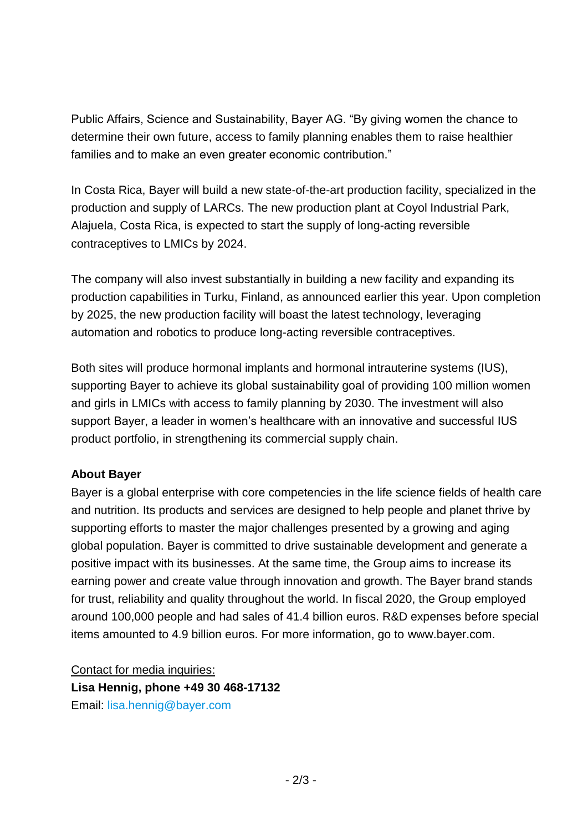Public Affairs, Science and Sustainability, Bayer AG. "By giving women the chance to determine their own future, access to family planning enables them to raise healthier families and to make an even greater economic contribution."

In Costa Rica, Bayer will build a new state-of-the-art production facility, specialized in the production and supply of LARCs. The new production plant at Coyol Industrial Park, Alajuela, Costa Rica, is expected to start the supply of long-acting reversible contraceptives to LMICs by 2024.

The company will also invest substantially in building a new facility and expanding its production capabilities in Turku, Finland, as announced earlier this year. Upon completion by 2025, the new production facility will boast the latest technology, leveraging automation and robotics to produce long-acting reversible contraceptives.

Both sites will produce hormonal implants and hormonal intrauterine systems (IUS), supporting Bayer to achieve its global sustainability goal of providing 100 million women and girls in LMICs with access to family planning by 2030. The investment will also support Bayer, a leader in women's healthcare with an innovative and successful IUS product portfolio, in strengthening its commercial supply chain.

## **About Bayer**

Bayer is a global enterprise with core competencies in the life science fields of health care and nutrition. Its products and services are designed to help people and planet thrive by supporting efforts to master the major challenges presented by a growing and aging global population. Bayer is committed to drive sustainable development and generate a positive impact with its businesses. At the same time, the Group aims to increase its earning power and create value through innovation and growth. The Bayer brand stands for trust, reliability and quality throughout the world. In fiscal 2020, the Group employed around 100,000 people and had sales of 41.4 billion euros. R&D expenses before special items amounted to 4.9 billion euros. For more information, go to [www.bayer.com.](http://www.bayer.com/)

Contact for media inquiries: **Lisa Hennig, phone +49 30 468-17132** Email: [lisa.hennig@bayer.com](mailto:lisa.hennig@bayer.com)